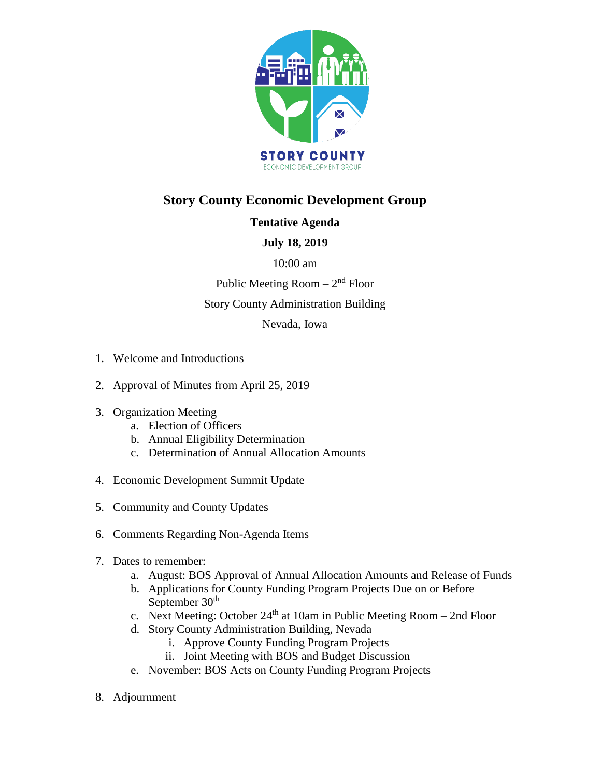

# **Story County Economic Development Group**

# **Tentative Agenda**

# **July 18, 2019**

## 10:00 am

Public Meeting  $Room - 2<sup>nd</sup> Floor$ 

## Story County Administration Building

Nevada, Iowa

- 1. Welcome and Introductions
- 2. Approval of Minutes from April 25, 2019
- 3. Organization Meeting
	- a. Election of Officers
	- b. Annual Eligibility Determination
	- c. Determination of Annual Allocation Amounts
- 4. Economic Development Summit Update
- 5. Community and County Updates
- 6. Comments Regarding Non-Agenda Items
- 7. Dates to remember:
	- a. August: BOS Approval of Annual Allocation Amounts and Release of Funds
	- b. Applications for County Funding Program Projects Due on or Before September 30<sup>th</sup>
	- c. Next Meeting: October  $24<sup>th</sup>$  at 10am in Public Meeting Room 2nd Floor
	- d. Story County Administration Building, Nevada
		- i. Approve County Funding Program Projects
		- ii. Joint Meeting with BOS and Budget Discussion
	- e. November: BOS Acts on County Funding Program Projects
- 8. Adjournment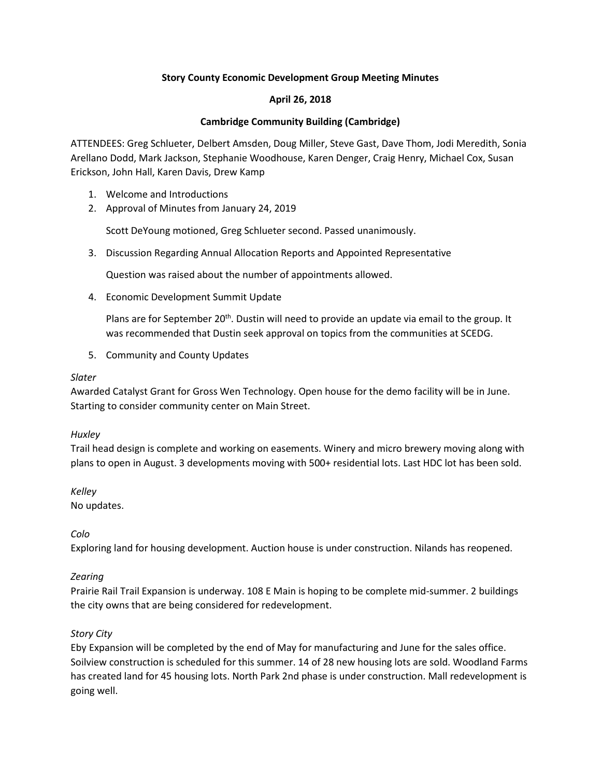## **Story County Economic Development Group Meeting Minutes**

## **April 26, 2018**

## **Cambridge Community Building (Cambridge)**

ATTENDEES: Greg Schlueter, Delbert Amsden, Doug Miller, Steve Gast, Dave Thom, Jodi Meredith, Sonia Arellano Dodd, Mark Jackson, Stephanie Woodhouse, Karen Denger, Craig Henry, Michael Cox, Susan Erickson, John Hall, Karen Davis, Drew Kamp

- 1. Welcome and Introductions
- 2. Approval of Minutes from January 24, 2019

Scott DeYoung motioned, Greg Schlueter second. Passed unanimously.

3. Discussion Regarding Annual Allocation Reports and Appointed Representative

Question was raised about the number of appointments allowed.

4. Economic Development Summit Update

Plans are for September 20<sup>th</sup>. Dustin will need to provide an update via email to the group. It was recommended that Dustin seek approval on topics from the communities at SCEDG.

5. Community and County Updates

#### *Slater*

Awarded Catalyst Grant for Gross Wen Technology. Open house for the demo facility will be in June. Starting to consider community center on Main Street.

#### *Huxley*

Trail head design is complete and working on easements. Winery and micro brewery moving along with plans to open in August. 3 developments moving with 500+ residential lots. Last HDC lot has been sold.

*Kelley* 

No updates.

*Colo* 

Exploring land for housing development. Auction house is under construction. Nilands has reopened.

#### *Zearing*

Prairie Rail Trail Expansion is underway. 108 E Main is hoping to be complete mid-summer. 2 buildings the city owns that are being considered for redevelopment.

## *Story City*

Eby Expansion will be completed by the end of May for manufacturing and June for the sales office. Soilview construction is scheduled for this summer. 14 of 28 new housing lots are sold. Woodland Farms has created land for 45 housing lots. North Park 2nd phase is under construction. Mall redevelopment is going well.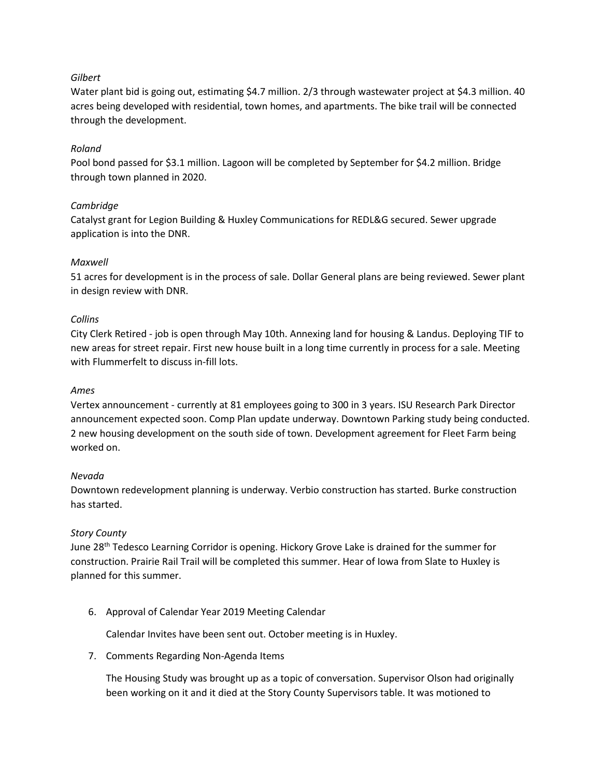#### *Gilbert*

Water plant bid is going out, estimating \$4.7 million. 2/3 through wastewater project at \$4.3 million. 40 acres being developed with residential, town homes, and apartments. The bike trail will be connected through the development.

## *Roland*

Pool bond passed for \$3.1 million. Lagoon will be completed by September for \$4.2 million. Bridge through town planned in 2020.

## *Cambridge*

Catalyst grant for Legion Building & Huxley Communications for REDL&G secured. Sewer upgrade application is into the DNR.

## *Maxwell*

51 acres for development is in the process of sale. Dollar General plans are being reviewed. Sewer plant in design review with DNR.

#### *Collins*

City Clerk Retired - job is open through May 10th. Annexing land for housing & Landus. Deploying TIF to new areas for street repair. First new house built in a long time currently in process for a sale. Meeting with Flummerfelt to discuss in-fill lots.

#### *Ames*

Vertex announcement - currently at 81 employees going to 300 in 3 years. ISU Research Park Director announcement expected soon. Comp Plan update underway. Downtown Parking study being conducted. 2 new housing development on the south side of town. Development agreement for Fleet Farm being worked on.

#### *Nevada*

Downtown redevelopment planning is underway. Verbio construction has started. Burke construction has started.

#### *Story County*

June 28<sup>th</sup> Tedesco Learning Corridor is opening. Hickory Grove Lake is drained for the summer for construction. Prairie Rail Trail will be completed this summer. Hear of Iowa from Slate to Huxley is planned for this summer.

6. Approval of Calendar Year 2019 Meeting Calendar

Calendar Invites have been sent out. October meeting is in Huxley.

7. Comments Regarding Non-Agenda Items

The Housing Study was brought up as a topic of conversation. Supervisor Olson had originally been working on it and it died at the Story County Supervisors table. It was motioned to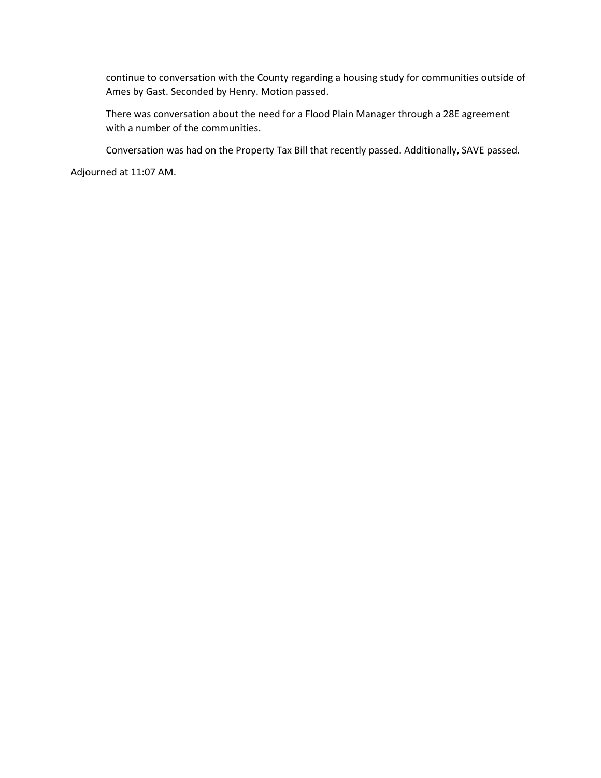continue to conversation with the County regarding a housing study for communities outside of Ames by Gast. Seconded by Henry. Motion passed.

There was conversation about the need for a Flood Plain Manager through a 28E agreement with a number of the communities.

Conversation was had on the Property Tax Bill that recently passed. Additionally, SAVE passed.

Adjourned at 11:07 AM.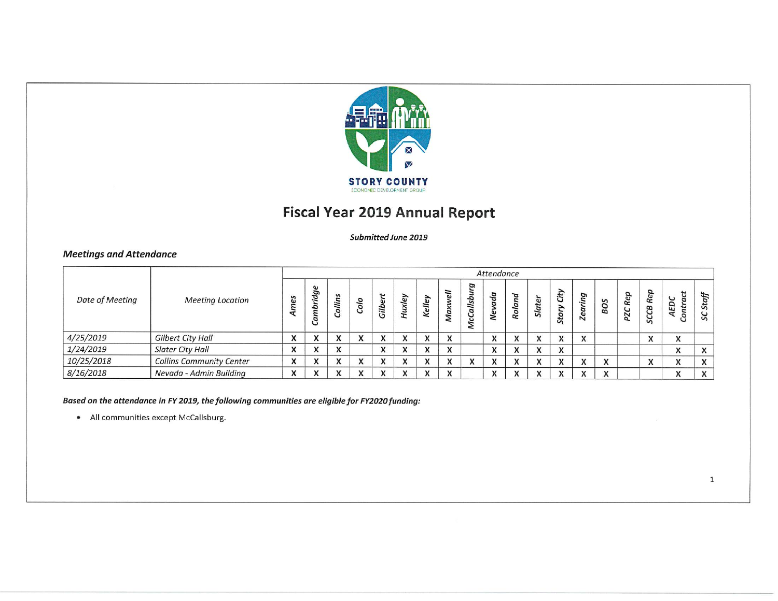

# **Fiscal Year 2019 Annual Report**

#### Submitted June 2019

## **Meetings and Attendance**

|                 |                                 |                              |                                    |              |                              |                              |                              |              |                                               |        | Attendance                             |               |                           |                              |                              |                           |                   |                                         |                                    | Staff<br>SC               |
|-----------------|---------------------------------|------------------------------|------------------------------------|--------------|------------------------------|------------------------------|------------------------------|--------------|-----------------------------------------------|--------|----------------------------------------|---------------|---------------------------|------------------------------|------------------------------|---------------------------|-------------------|-----------------------------------------|------------------------------------|---------------------------|
| Date of Meeting | <b>Meeting Location</b>         | mes                          | $\mathbf{c}$<br>idg<br>a<br>з<br>U | Collins      | ್ರ<br>පි                     | ы<br>$\Omega$<br>Gilb        | ڡ<br>×                       | lley<br>۷e   | $\bar{e}$<br>₹<br>$\boldsymbol{\times}$<br>Ma | ø<br>ݺ | a<br>ڡ                                 | ರ<br>ø<br>Ro. | <b>Slate</b>              | ∽<br>土<br>o,<br>S            | ing<br><b>Zea</b>            | $\mathbf{v}$<br><b>DB</b> | Rep<br><b>DZC</b> | ּם<br>Rej<br>æ<br>G<br>S                | ť<br>ပ<br>a<br>ED<br>ti<br>$\circ$ |                           |
| 4/25/2019       | Gilbert City Hall               | $\mathbf{v}$<br>$\mathbf{v}$ | $\mathbf{v}$<br>$\mathbf{v}$       | $\mathbf{v}$ | $\mathbf{v}$<br>$\mathbf{v}$ | $\mathbf{v}$<br>$\mathbf{v}$ | $\mathbf{v}$<br>$\mathbf{v}$ | $\mathbf{v}$ | X                                             |        | $\mathbf{v}$<br>$\boldsymbol{\Lambda}$ | $\mathbf{v}$  | $\mathbf{v}$<br>$\lambda$ | $\mathbf{v}$<br>$\mathbf{v}$ | $\mathbf{v}$<br>$\sqrt{ }$   |                           |                   | $\overline{\mathbf{v}}$<br>$\mathbf{v}$ | X                                  |                           |
| 1/24/2019       | <b>Slater City Hall</b>         | $\mathbf{v}$<br>$\lambda$    | $\mathbf{v}$<br>$\lambda$          | $\mathbf{v}$ |                              | $\mathbf{v}$<br>$\lambda$    | $\mathbf{v}$<br>$\mathbf{v}$ |              | x                                             |        | A                                      | $\lambda$     | $\mathbf{v}$<br>$\lambda$ | $\mathbf{v}$<br>$\mathbf{v}$ |                              |                           |                   |                                         | x                                  | $\lambda$<br>$\Lambda$    |
| 10/25/2018      | <b>Collins Community Center</b> | X                            | $\mathbf{v}$<br>$\lambda$          | $\mathbf{v}$ | $\mathbf{v}$<br>$\lambda$    | $\mathbf{v}$<br>$\mathbf{v}$ | $\mathbf{v}$<br>$\mathbf{v}$ | $\lambda$    | X                                             |        | ж                                      | $\mathbf{v}$  | $\mathbf{v}$<br>$\lambda$ | $\lambda$<br>$\mathbf{v}$    | $\mathbf v$<br>$\lambda$     | $\mathbf{v}$<br>$\lambda$ |                   | $\mathbf{v}$<br>$\mathbf{v}$            | X                                  | $\lambda$<br>$\mathbf{v}$ |
| 8/16/2018       | Nevada - Admin Building         | $\mathbf{v}$<br>$\mathbf{v}$ | $\mathbf{v}$<br>$\lambda$          | $\mathbf{u}$ | $\mathbf{v}$<br>$\lambda$    | $\overline{ }$<br>$\lambda$  | $\bullet$                    |              | X                                             |        |                                        | $\mathbf{v}$  | $\mathbf{v}$<br>$\lambda$ | $\mathbf{v}$<br>$\mathbf{v}$ | $\mathbf{v}$<br>$\mathbf{v}$ | $\mathbf{v}$<br>$\lambda$ |                   |                                         | $\mathbf{v}$<br>$\mathbf{v}$       | $\mathbf{v}$              |

#### Based on the attendance in FY 2019, the following communities are eligible for FY2020 funding:

• All communities except McCallsburg.

 $\mathbf{1}$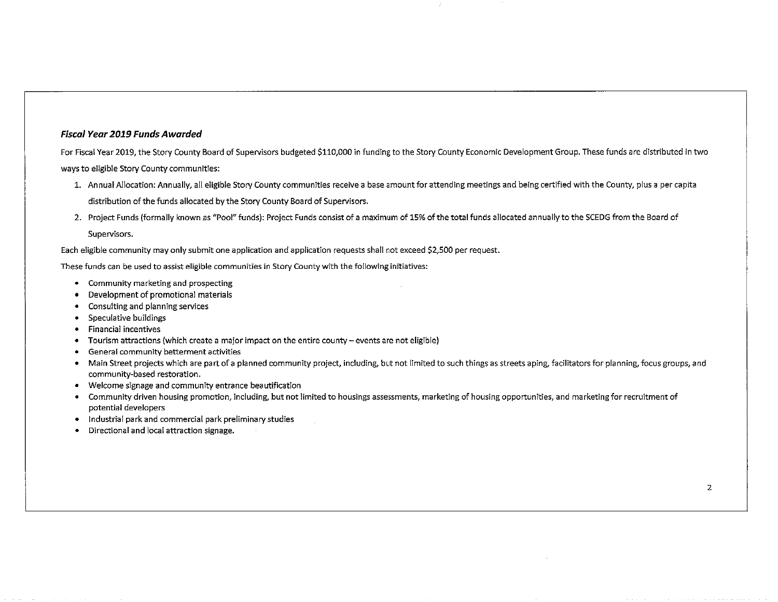#### **Fiscal Year 2019 Funds Awarded**

For Fiscal Year 2019, the Story County Board of Supervisors budgeted \$110,000 in funding to the Story County Economic Development Group. These funds are distributed in two ways to eligible Story County communities:

- 1. Annual Allocation: Annually, all eligible Story County communities receive a base amount for attending meetings and being certified with the County, plus a per capita distribution of the funds allocated by the Story County Board of Supervisors.
- 2. Project Funds (formally known as "Pool" funds): Project Funds consist of a maximum of 15% of the total funds allocated annually to the SCEDG from the Board of Supervisors.

Each eligible community may only submit one application and application requests shall not exceed \$2,500 per request.

These funds can be used to assist eligible communities in Story County with the following initiatives:

- Community marketing and prospecting
- Development of promotional materials
- Consulting and planning services
- Speculative buildings
- Financial incentives
- Tourism attractions (which create a major impact on the entire county events are not eligible)
- General community betterment activities
- Main Street projects which are part of a planned community project, including, but not limited to such things as streets aping, facilitators for planning, focus groups, and community-based restoration.
- Welcome signage and community entrance beautification
- Community driven housing promotion, including, but not limited to housings assessments, marketing of housing opportunities, and marketing for recruitment of potential developers
- Industrial park and commercial park preliminary studies
- Directional and local attraction signage.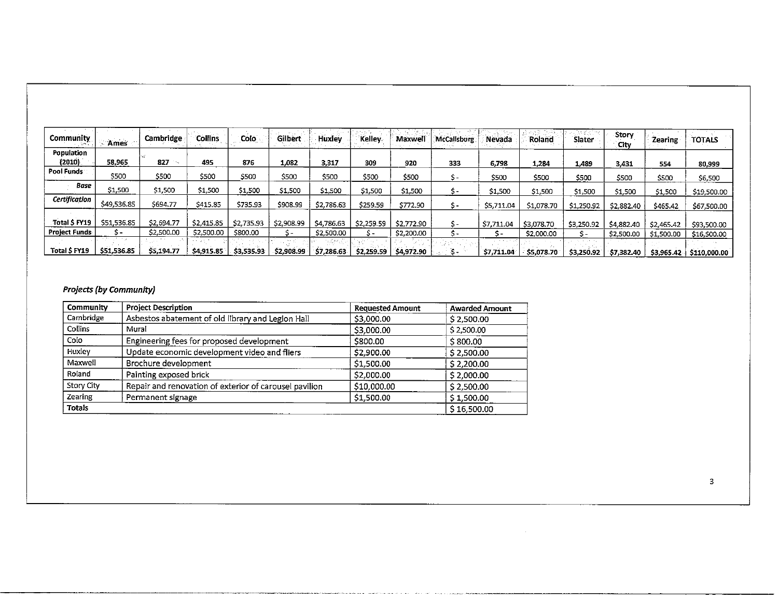| Community            | Ames        | Cambridge  | <b>Collins</b> | Colo i     | Gilbert<br><b>STATE</b> | Huxley                | <b>Kelley</b> | Maxwell    | <b>McCallsburg</b> | Nevada                                 | Roland     | le dal<br>Slater | Story<br>City | Zearing    | <b>TOTALS</b> |
|----------------------|-------------|------------|----------------|------------|-------------------------|-----------------------|---------------|------------|--------------------|----------------------------------------|------------|------------------|---------------|------------|---------------|
| Population<br>(2010) | 58,965      | 827        | 495            | 876        | 1,082                   | 3,317                 | 309           | 920        | 333                | 6,798                                  | 1,284      | 1,489            | 3,431         | 554        | 80,999        |
| Pool Funds           | \$500       | \$500      | \$500          | \$500      | \$500                   | \$500                 | \$500         | \$500      | \$-                | \$500                                  | \$500      | \$500            | \$500         | \$500      | \$6,500       |
| Base                 | \$1,500     | \$1,500    | \$1,500        | \$1,500    | \$1,500                 | \$1,500               | \$1,500       | \$1,500    | 5-                 | \$1,500                                | \$1,500    | \$1,500          | \$1,500       | \$1,500    | \$19,500.00   |
| Certification        | \$49,536.85 | \$694.77   | \$415.85       | \$735.93   | \$908.99                | \$2,786.63            | \$259.59      | \$772.90   | \$-                | \$5,711.04                             | \$1,078.70 | \$1,250.92       | \$2,882.40    | \$465.42   | \$67,500.00   |
| Total S FY19         | \$51,536.85 | \$2,694.77 | \$2,415.85     | \$2,735.93 | \$2,908.99              | \$4,786.63            | \$2,259.59    | \$2,772.90 | S-                 | \$7,711.04                             | \$3,078.70 | \$3,250.92       | \$4,882.40    | \$2,465.42 | \$93,500.00   |
| <b>Project Funds</b> | s-          | \$2,500.00 | \$2,500.00     | \$800.00   |                         | \$2,500.00            | ╮.            | \$2,200.00 | s-                 |                                        | \$2,000.00 | 5-               | \$2,500.00    | \$1,500.00 | \$16,500.00   |
| Total S FY19         | \$51,536.85 | \$5,194.77 | S4,915.85      | \$3,535.93 | \$2,908.99              | المحاواة<br>57,286.63 | \$2,259.59    | \$4,972.90 | a -                | <b>Contract Contract</b><br>\$7,711.04 | \$5,078.70 | \$3,250.92       | \$7,382.40    | 53,965.42  | \$110,000.00  |

#### **Projects (by Community)**

| Community      | <b>Project Description</b>                             | <b>Requested Amount</b> | <b>Awarded Amount</b> |
|----------------|--------------------------------------------------------|-------------------------|-----------------------|
| Cambridge      | Asbestos abatement of old library and Legion Hall      | \$3,000.00              | \$2,500.00            |
| <b>Collins</b> | Mural                                                  | \$3,000.00              | \$2,500.00            |
| Colo           | Engineering fees for proposed development              | \$800.00                | \$800.00              |
| Huxley         | Update economic development video and fliers           | \$2,900.00              | \$2,500.00            |
| Maxwell        | Brochure development                                   | \$1,500.00              | \$2,200.00            |
| Roland         | Painting exposed brick                                 | \$2,000.00              | \$2,000.00            |
| Story City     | Repair and renovation of exterior of carousel pavilion | \$10,000.00             | \$2,500.00            |
| Zearing        | Permanent signage                                      | \$1,500.00              | \$1,500.00            |
| <b>Totals</b>  |                                                        |                         | \$16,500.00           |